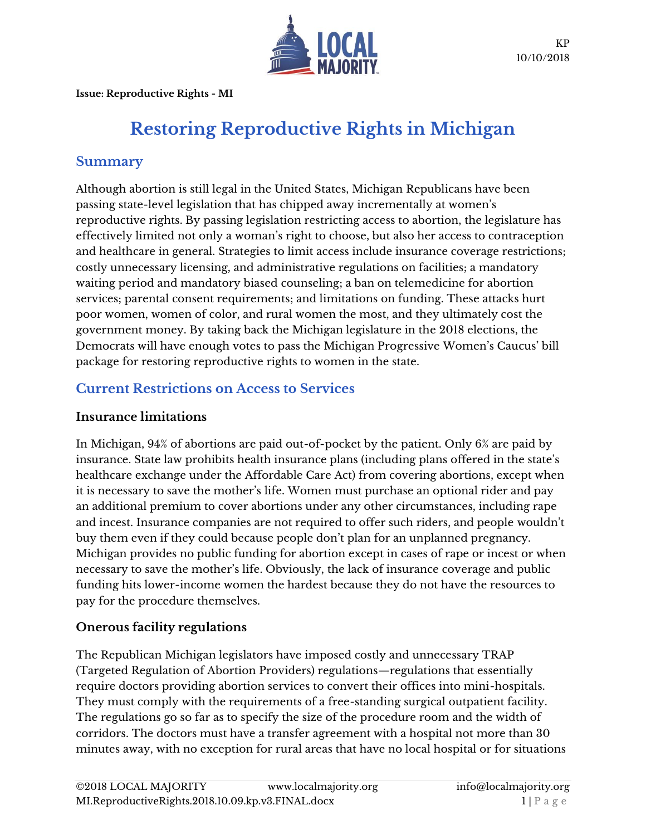

**Issue: Reproductive Rights - MI**

# **Restoring Reproductive Rights in Michigan**

# **Summary**

Although abortion is still legal in the United States, Michigan Republicans have been passing state-level legislation that has chipped away incrementally at women's reproductive rights. By passing legislation restricting access to abortion, the legislature has effectively limited not only a woman's right to choose, but also her access to contraception and healthcare in general. Strategies to limit access include insurance coverage restrictions; costly unnecessary licensing, and administrative regulations on facilities; a mandatory waiting period and mandatory biased counseling; a ban on telemedicine for abortion services; parental consent requirements; and limitations on funding. These attacks hurt poor women, women of color, and rural women the most, and they ultimately cost the government money. By taking back the Michigan legislature in the 2018 elections, the Democrats will have enough votes to pass the Michigan Progressive Women's Caucus' bill package for restoring reproductive rights to women in the state.

# **Current Restrictions on Access to Services**

#### **Insurance limitations**

In Michigan, 94% of abortions are paid out-of-pocket by the patient. Only 6% are paid by insurance. State law prohibits health insurance plans (including plans offered in the state's healthcare exchange under the Affordable Care Act) from covering abortions, except when it is necessary to save the mother's life. Women must purchase an optional rider and pay an additional premium to cover abortions under any other circumstances, including rape and incest. Insurance companies are not required to offer such riders, and people wouldn't buy them even if they could because people don't plan for an unplanned pregnancy. Michigan provides no public funding for abortion except in cases of rape or incest or when necessary to save the mother's life. Obviously, the lack of insurance coverage and public funding hits lower-income women the hardest because they do not have the resources to pay for the procedure themselves.

## **Onerous facility regulations**

The Republican Michigan legislators have imposed costly and unnecessary TRAP (Targeted Regulation of Abortion Providers) regulations—regulations that essentially require doctors providing abortion services to convert their offices into mini-hospitals. They must comply with the requirements of a free-standing surgical outpatient facility. The regulations go so far as to specify the size of the procedure room and the width of corridors. The doctors must have a transfer agreement with a hospital not more than 30 minutes away, with no exception for rural areas that have no local hospital or for situations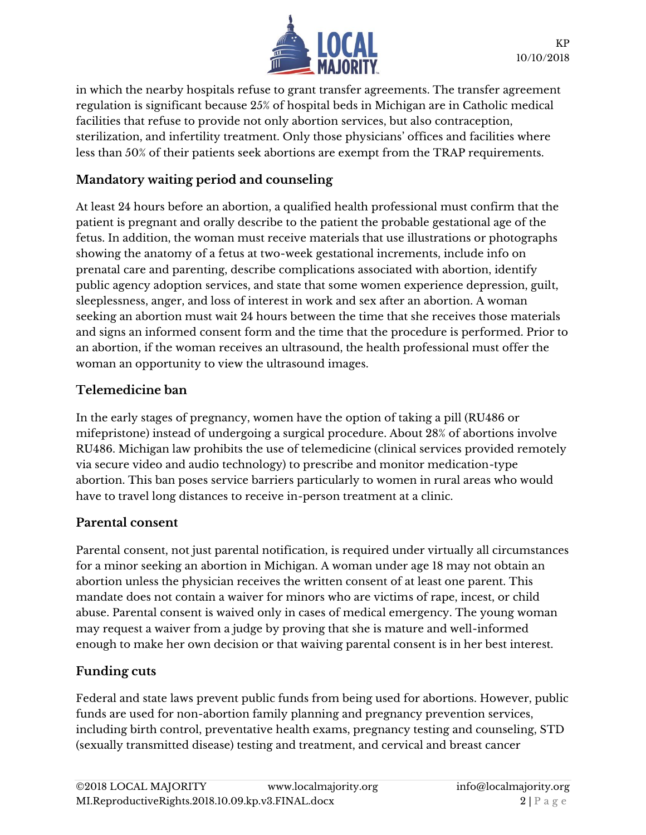

in which the nearby hospitals refuse to grant transfer agreements. The transfer agreement regulation is significant because 25% of hospital beds in Michigan are in Catholic medical facilities that refuse to provide not only abortion services, but also contraception, sterilization, and infertility treatment. Only those physicians' offices and facilities where less than 50% of their patients seek abortions are exempt from the TRAP requirements.

#### **Mandatory waiting period and counseling**

At least 24 hours before an abortion, a qualified health professional must confirm that the patient is pregnant and orally describe to the patient the probable gestational age of the fetus. In addition, the woman must receive materials that use illustrations or photographs showing the anatomy of a fetus at two-week gestational increments, include info on prenatal care and parenting, describe complications associated with abortion, identify public agency adoption services, and state that some women experience depression, guilt, sleeplessness, anger, and loss of interest in work and sex after an abortion. A woman seeking an abortion must wait 24 hours between the time that she receives those materials and signs an informed consent form and the time that the procedure is performed. Prior to an abortion, if the woman receives an ultrasound, the health professional must offer the woman an opportunity to view the ultrasound images.

#### **Telemedicine ban**

In the early stages of pregnancy, women have the option of taking a pill (RU486 or mifepristone) instead of undergoing a surgical procedure. About 28% of abortions involve RU486. Michigan law prohibits the use of telemedicine (clinical services provided remotely via secure video and audio technology) to prescribe and monitor medication-type abortion. This ban poses service barriers particularly to women in rural areas who would have to travel long distances to receive in-person treatment at a clinic.

#### **Parental consent**

Parental consent, not just parental notification, is required under virtually all circumstances for a minor seeking an abortion in Michigan. A woman under age 18 may not obtain an abortion unless the physician receives the written consent of at least one parent. This mandate does not contain a waiver for minors who are victims of rape, incest, or child abuse. Parental consent is waived only in cases of medical emergency. The young woman may request a waiver from a judge by proving that she is mature and well-informed enough to make her own decision or that waiving parental consent is in her best interest.

#### **Funding cuts**

Federal and state laws prevent public funds from being used for abortions. However, public funds are used for non-abortion family planning and pregnancy prevention services, including birth control, preventative health exams, pregnancy testing and counseling, STD (sexually transmitted disease) testing and treatment, and cervical and breast cancer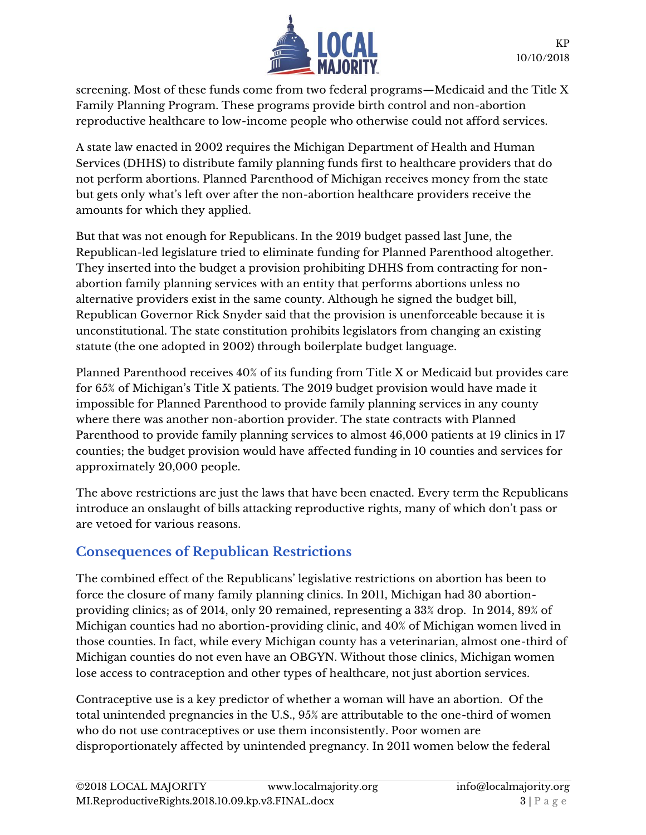

screening. Most of these funds come from two federal programs—Medicaid and the Title X Family Planning Program. These programs provide birth control and non-abortion reproductive healthcare to low-income people who otherwise could not afford services.

A state law enacted in 2002 requires the Michigan Department of Health and Human Services (DHHS) to distribute family planning funds first to healthcare providers that do not perform abortions. Planned Parenthood of Michigan receives money from the state but gets only what's left over after the non-abortion healthcare providers receive the amounts for which they applied.

But that was not enough for Republicans. In the 2019 budget passed last June, the Republican-led legislature tried to eliminate funding for Planned Parenthood altogether. They inserted into the budget a provision prohibiting DHHS from contracting for nonabortion family planning services with an entity that performs abortions unless no alternative providers exist in the same county. Although he signed the budget bill, Republican Governor Rick Snyder said that the provision is unenforceable because it is unconstitutional. The state constitution prohibits legislators from changing an existing statute (the one adopted in 2002) through boilerplate budget language.

Planned Parenthood receives 40% of its funding from Title X or Medicaid but provides care for 65% of Michigan's Title X patients. The 2019 budget provision would have made it impossible for Planned Parenthood to provide family planning services in any county where there was another non-abortion provider. The state contracts with Planned Parenthood to provide family planning services to almost 46,000 patients at 19 clinics in 17 counties; the budget provision would have affected funding in 10 counties and services for approximately 20,000 people.

The above restrictions are just the laws that have been enacted. Every term the Republicans introduce an onslaught of bills attacking reproductive rights, many of which don't pass or are vetoed for various reasons.

# **Consequences of Republican Restrictions**

The combined effect of the Republicans' legislative restrictions on abortion has been to force the closure of many family planning clinics. In 2011, Michigan had 30 abortionproviding clinics; as of 2014, only 20 remained, representing a 33% drop. In 2014, 89% of Michigan counties had no abortion-providing clinic, and 40% of Michigan women lived in those counties. In fact, while every Michigan county has a veterinarian, almost one-third of Michigan counties do not even have an OBGYN. Without those clinics, Michigan women lose access to contraception and other types of healthcare, not just abortion services.

Contraceptive use is a key predictor of whether a woman will have an abortion. Of the total unintended pregnancies in the U.S., 95% are attributable to the one-third of women who do not use contraceptives or use them inconsistently. Poor women are disproportionately affected by unintended pregnancy. In 2011 women below the federal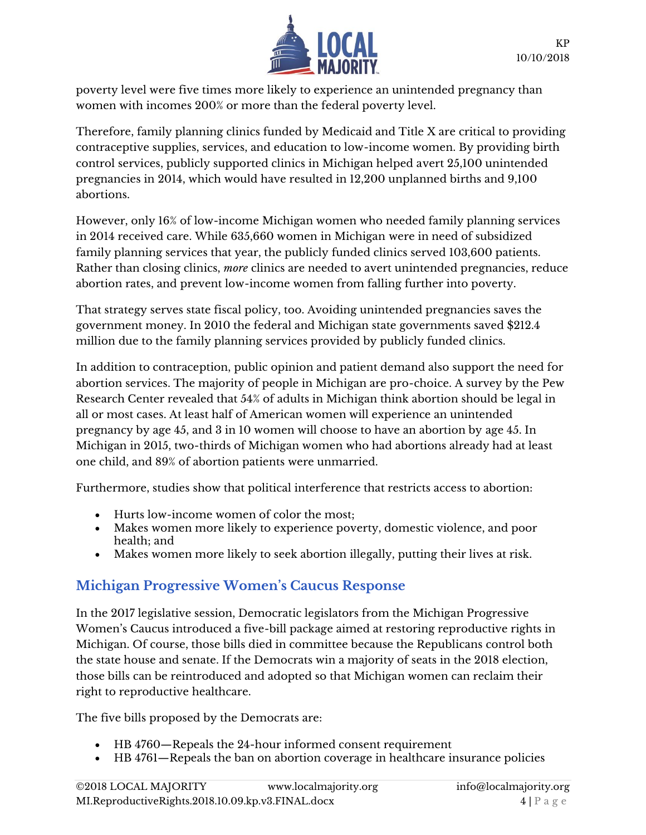

poverty level were five times more likely to experience an unintended pregnancy than women with incomes 200% or more than the federal poverty level.

Therefore, family planning clinics funded by Medicaid and Title X are critical to providing contraceptive supplies, services, and education to low-income women. By providing birth control services, publicly supported clinics in Michigan helped avert 25,100 unintended pregnancies in 2014, which would have resulted in 12,200 unplanned births and 9,100 abortions.

However, only 16% of low-income Michigan women who needed family planning services in 2014 received care. While 635,660 women in Michigan were in need of subsidized family planning services that year, the publicly funded clinics served 103,600 patients. Rather than closing clinics, *more* clinics are needed to avert unintended pregnancies, reduce abortion rates, and prevent low-income women from falling further into poverty.

That strategy serves state fiscal policy, too. Avoiding unintended pregnancies saves the government money. In 2010 the federal and Michigan state governments saved \$212.4 million due to the family planning services provided by publicly funded clinics.

In addition to contraception, public opinion and patient demand also support the need for abortion services. The majority of people in Michigan are pro-choice. A survey by the Pew Research Center revealed that 54% of adults in Michigan think abortion should be legal in all or most cases. At least half of American women will experience an unintended pregnancy by age 45, and 3 in 10 women will choose to have an abortion by age 45. In Michigan in 2015, two-thirds of Michigan women who had abortions already had at least one child, and 89% of abortion patients were unmarried.

Furthermore, studies show that political interference that restricts access to abortion:

- Hurts low-income women of color the most;
- Makes women more likely to experience poverty, domestic violence, and poor health; and
- Makes women more likely to seek abortion illegally, putting their lives at risk.

## **Michigan Progressive Women's Caucus Response**

In the 2017 legislative session, Democratic legislators from the Michigan Progressive Women's Caucus introduced a five-bill package aimed at restoring reproductive rights in Michigan. Of course, those bills died in committee because the Republicans control both the state house and senate. If the Democrats win a majority of seats in the 2018 election, those bills can be reintroduced and adopted so that Michigan women can reclaim their right to reproductive healthcare.

The five bills proposed by the Democrats are:

- HB 4760—Repeals the 24-hour informed consent requirement
- HB 4761—Repeals the ban on abortion coverage in healthcare insurance policies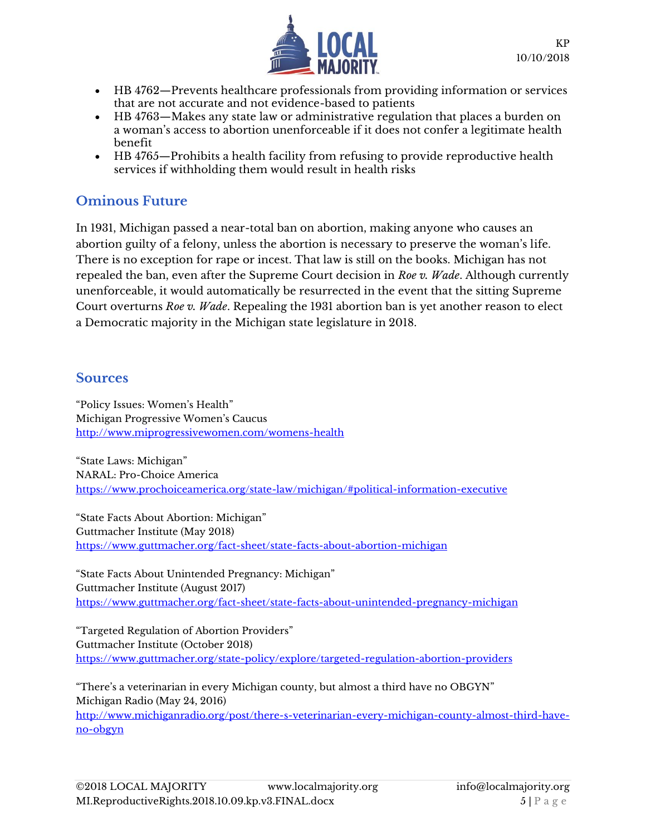

- HB 4762—Prevents healthcare professionals from providing information or services that are not accurate and not evidence-based to patients
- HB 4763—Makes any state law or administrative regulation that places a burden on a woman's access to abortion unenforceable if it does not confer a legitimate health benefit
- HB 4765—Prohibits a health facility from refusing to provide reproductive health services if withholding them would result in health risks

# **Ominous Future**

In 1931, Michigan passed a near-total ban on abortion, making anyone who causes an abortion guilty of a felony, unless the abortion is necessary to preserve the woman's life. There is no exception for rape or incest. That law is still on the books. Michigan has not repealed the ban, even after the Supreme Court decision in *Roe v. Wade*. Although currently unenforceable, it would automatically be resurrected in the event that the sitting Supreme Court overturns *Roe v. Wade*. Repealing the 1931 abortion ban is yet another reason to elect a Democratic majority in the Michigan state legislature in 2018.

#### **Sources**

"Policy Issues: Women's Health" Michigan Progressive Women's Caucus <http://www.miprogressivewomen.com/womens-health>

"State Laws: Michigan" NARAL: Pro-Choice America <https://www.prochoiceamerica.org/state-law/michigan/#political-information-executive>

"State Facts About Abortion: Michigan" Guttmacher Institute (May 2018) <https://www.guttmacher.org/fact-sheet/state-facts-about-abortion-michigan>

"State Facts About Unintended Pregnancy: Michigan" Guttmacher Institute (August 2017) <https://www.guttmacher.org/fact-sheet/state-facts-about-unintended-pregnancy-michigan>

"Targeted Regulation of Abortion Providers" Guttmacher Institute (October 2018) <https://www.guttmacher.org/state-policy/explore/targeted-regulation-abortion-providers>

"There's a veterinarian in every Michigan county, but almost a third have no OBGYN" Michigan Radio (May 24, 2016) [http://www.michiganradio.org/post/there-s-veterinarian-every-michigan-county-almost-third-have-](http://www.michiganradio.org/post/there-s-veterinarian-every-michigan-county-almost-third-have-no-obgyn)

[no-obgyn](http://www.michiganradio.org/post/there-s-veterinarian-every-michigan-county-almost-third-have-no-obgyn)